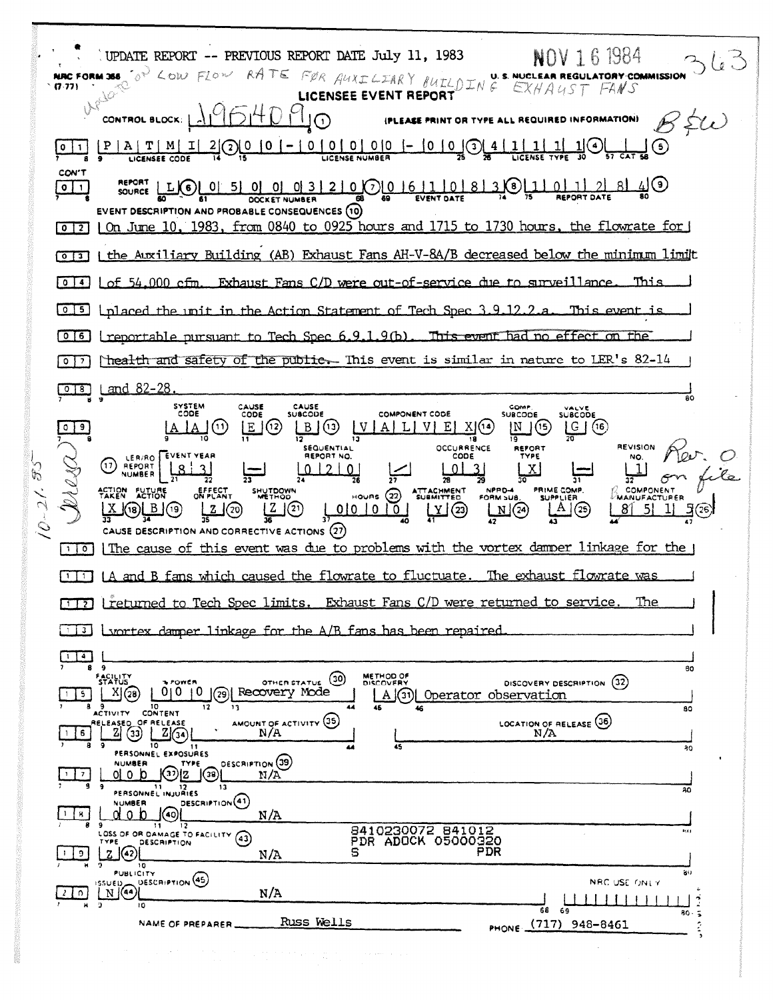$562$ UPDATE REPORT -- PREVIOUS REPORT DATE July 11, 1983 NOV 161984 OF LOW FLOW RATE FOR AUXILIARY BUILDING EXHAUST FANS NRC FORM 366  $(7.77)$ undo. LICENSEE EVENT REPORT MHI  $B \approx \omega$ (PLEASE PRINT OR TYPE ALL REQUIRED INFORMATION) CONTROL BLOCK: |  $|P|A|T|M|$  $|I|$ 4 (ڡ)  $\left(3\right)$  $|0|1|$ LICENSEE CODE CON'T  $\overline{2}$ <u>\_81</u> 7ী হি  $\boxed{0}$   $\boxed{1}$ **OOCKET NUMBER** EVENT DESCRIPTION AND PROBABLE CONSEQUENCES (10)  $\lceil 0 \rceil$  | On June 10, 1983, from 0840 to 0925 hours and 1715 to 1730 hours, the flowrate for [0] [3] I the Auxiliary Building (AB) Exhaust Fans AH-V-8A/B decreased below the minimum limit [0] 4] Lof 54,000 cfm. Exhaust Fans C/D were out-of-service due to surveillance. This 0.5 Inlaced the unit in the Action Statement of Tech Spec 3.9.12.2.a This event is 0 6 | treportable pursuant to Tech Spec 6.9.1.9(b) This event had no effect on the The alth and safety of the public. This event is similar in nature to LER's  $82-14$ 0 8 Land 82-28 SYSTEM<br>CODE CAUSE<br>CODE CAUSE<br>SUBCODE COMP.<br>SUBCODE SUBCODE COMPONENT CODE  $E(12)$  $\Box$   $\odot$  $V[A][L]V[E][X](4)$ <u>ြင</u>္၊ (၈  $\left| \right|$  $\boxed{\text{N}}$  (15) 18 **REVISION** SEQUENTIAL **OCCURRENCE** REFORT LER/RO FEVENT YEAR REPORT NO. CODE (17) REPORT  $8<sup>1</sup>$  $\mathbf{R}$  $012101$  $013$  $|X|$  $11$  $\sigma$  $\overline{\mathbf{57}}$ SHUTDOW EFFECT<br>ON PLANT ATTACHMENT COMPONENT ACTION FUTURE NPRD-4 PRIME COMP. **HOURS**  $(22)$  $|Z|$  $\frac{N}{42}$  $A \mid (25)$  $2(20)$  $(18)$   $B(19)$  $0|0|0|0|$  $\binom{23}{ }$ 81  $5<sub>1</sub>$ CAUSE DESCRIPTION AND CORRECTIVE ACTIONS (27) [1] The cause of this event was due to problems with the vortex damper linkage for the [1] [A and B fans which caused the flowrate to fluctuate. The exhaust flowrate was [17] [returned to Tech Spec limits. Exhaust Fans C/D were returned to service The [1] Lyortex damper linkage for the A/B fans has been repaired  $\Box$ .<br>80 **FACILITY** OTHER STATUS (30) METHOD OF POWER DISCOVERY DESCRIPTION (32)  $0|0|0|$   $(29)$ Recovery Mode  $X(G8)$ A (31) Operator observation  $\overline{50}$ AMOUNT OF ACTIVITY (35) LOCATION OF RELEASE (36)  $\boxed{2} \boxed{34}$  $2(3)$  $6$  $N/A$ 10  $11$ īξ  $30$ PERSONNEL EXPOSURES **DESCRIPTION** (39) **NUMBER** TYPE  $\odot$ z  $\odot$  $\frac{1}{2}$  $0<sub>1</sub>$  o  $1<sub>0</sub>$ N/A PERSONNEL INJURIES  $\overline{20}$ DESCRIPTION<sup>(41)</sup> **NUMBER**  $d \circ b$  (40)  $\lceil \frac{1}{8} \rceil$  $N/A$  $\overline{11}$  $12$ 8410230072 841012<br>PDR ADOCK 05000320 LOSS OF OR DAMAGE TO FACILITY (43) m  $\mathbb{Z}$   $\Omega$ **PDR** S  $\vert \cdot \vert$  9  $N/A$  $\overline{10}$ **PUBLICITY** ao. SSUED<br>
NGA **DESCRIPTION** (45) NRC USE ONLY  $\sqrt{2}$  $N/A$ 111111 ١Ö 68 69  $80.$  $\overline{a}$ NAME OF PREPARER \_\_\_\_\_\_\_\_\_ RUSS Wells PHONE (717) 948-8461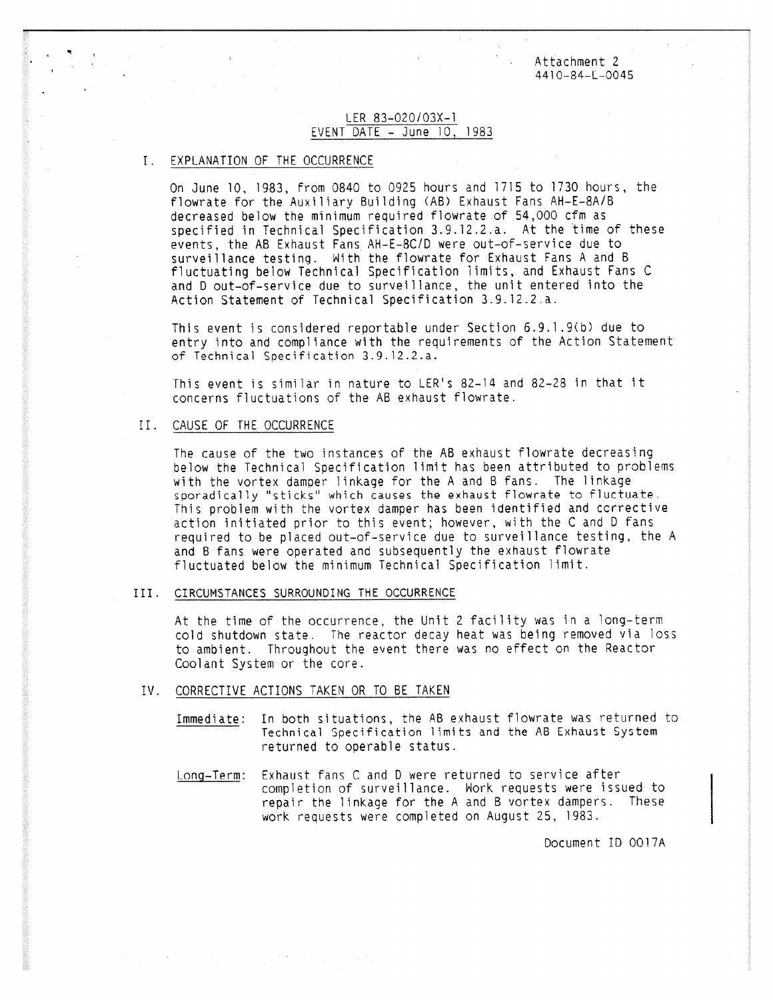Attachment 2 4410-84-L-0045

### LER 83-020/03X-1 EVENT DATE - June 10, 1983

#### I. EXPLANATION OF THE OCCURRENCE

On June 10, 1983, from 0840 to 0925 hours and 1715 to 1730 hours, the flowrate for the Auxiliary Building (AB) Exhaust Fans AH-E-8A/B decreased below the minimum required flowrate of 54,000 cfm as specified in Technical Specification 3.9,12.2.a. At the time of these events, the AB Exhaust Fans AH-E-8C/D were out-of-service due to surveillance testing. With the flowrate for Exhaust Fans A and B fluctuating below Technical Specification limits, and Exhaust Fans C and D out-of-service due to surveillance, the unit entered into the Action Statement of Technical Specification 3.9.12.2.a.

This event is considered reportable under Section 6.9.1.9(b) due to entry into and compliance with the requirements of the Action Statement of Technical Specification 3.9.12.2.a.

This event is similar in nature to LER's 82-14 and 82-28 in that it concerns fluctuations of the AB exhaust flowrate.

#### II. CAUSE OF THE OCCURRENCE

The cause of the two instances of the AB exhaust flowrate decreasing below the Technical Specification limit has been attributed to problems with the vortex damper linkage for the A and B fans. The linkage sporadically "sticks" which causes the exhaust flowrate to fluctuate This problem with the vortex damper has been identified and corrective action initiated prior to this event; however, with the C and D fans required to be placed out-of-service due to surveillance testing, the A and B fans were operated and subsequently the exhaust flowrate fluctuated below the minimum Technical Specification limit.

#### III. CIRCUMSTANCES SURROUNDING THE OCCURRENCE

At the time of the occurrence, the Unit 2 facility was in a long-term cold shutdown state. The reactor decay heat was being removed via loss to ambient. Throughout the event there was no effect on the Reactor Coolant System or the core.

#### IV. CORRECTIVE ACTIONS TAKEN OR TO BE TAKEN

- Immediate: In both situations, the AB exhaust flowrate was returned to Technical Specification limits and the AB Exhaust System returned to operable status.
- Long-Term: Exhaust fans C and D were returned to service after completion of surveillance. Work requests were issued to repair the linkage for the A and B vortex dampers. These work requests were completed on August 25, 1983.

Document ID 00I7A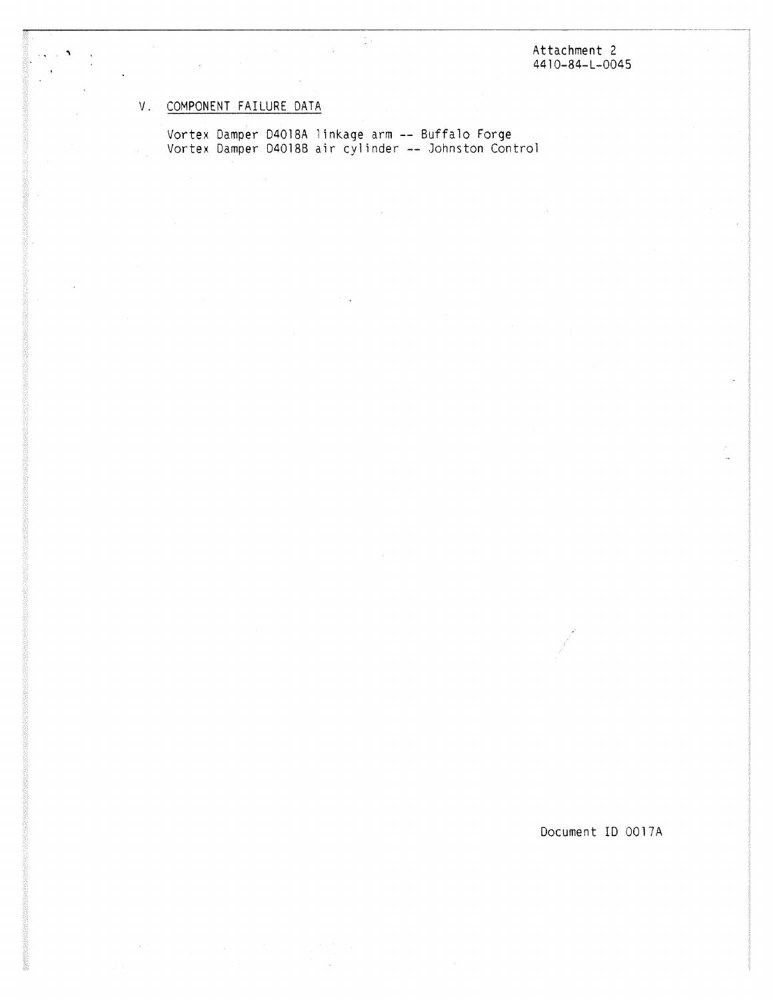Attachment 2 4410-84-L-0045

# V. COMPONENT FAILURE DATA

 $\overline{\phantom{a}}$ 

Vortex Damper D4018A linkage arm -- Buffalo Forge Vortex Damper D40188 air cylinder -- Johnston Control

÷.

Document ID 0017A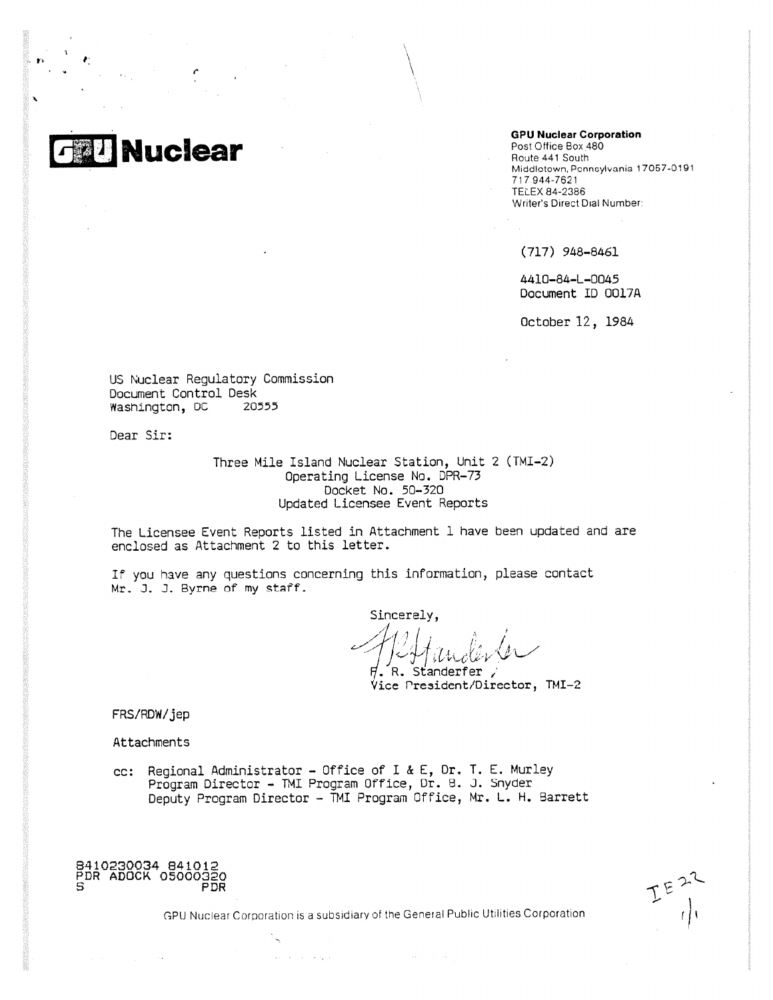

#### **GPU Nuclear Corporation**

Post Office Box 480 Route 441 South Middlotown, Ponnoylvania 17067-0191 717 944-7621 TELEX 84-2386 Writer's Direct Dial Number:

(717) 948-8461

4410-84-L-0045 Document ID 0017A

October 12, 1984

US Nuclear Regulatory Commission Document Control Desk Washington, DC 2055,

Dear Sir:

Three Mile Island Nuclear Station, Unit 2 (TMI-2) Operating License No. DPR-73 Docket No. 50-320 Updated Licensee Event Reports

The Licensee Event Reports listed in Attachment 1 have been updated and are enclosed as Attachment 2 to this letter.

If you have any questions concerning this information, please contact Mr. J. J. Byrne of my staff.

Sincerely.  $\langle \begin{matrix} I \end{matrix} \rangle$ 

. R. Standerfer ; Vice President/Director, TMI-2

FRS/RDW/jep

Attachments

cc: Regional Administrator - Office of I & E, Dr, T. E. Murley Program Director - TMI Program Office, Dr, B. J. Snyder Deputy Program Director - TMI Program Office, Mr. L. H. Barrett



GPU Nuclear Corporation is a subsidiary of the General Public U llities Corporation

**Contractor** 

 $\Delta\phi$  ,  $\Delta\phi$  ,  $\Delta\phi$  ,  $\Delta\phi$  ,  $\Delta\phi$